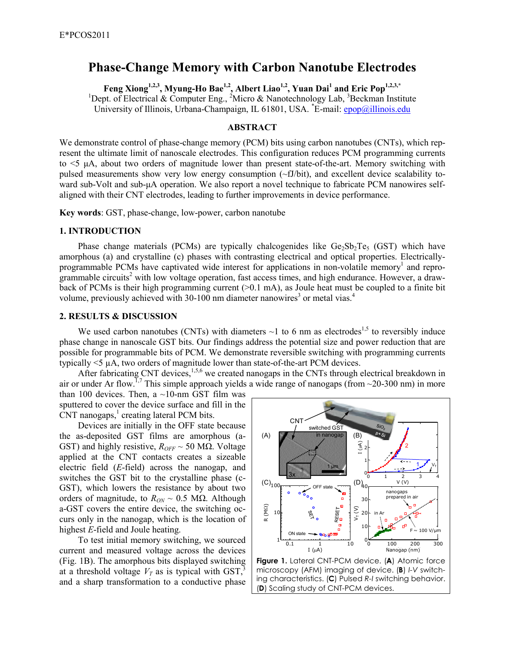# **Phase-Change Memory with Carbon Nanotube Electrodes**

**Feng Xiong1,2,3, Myung-Ho Bae1,2, Albert Liao1,2, Yuan Dai<sup>1</sup> and Eric Pop1,2,3,\*** <sup>1</sup>Dept. of Electrical & Computer Eng., <sup>2</sup>Micro & Nanotechnology Lab, <sup>3</sup>Beckman Institute University of Illinois, Urbana-Champaign, IL 61801, USA. \*E-mail: epop@illinois.edu

## **ABSTRACT**

We demonstrate control of phase-change memory (PCM) bits using carbon nanotubes (CNTs), which represent the ultimate limit of nanoscale electrodes. This configuration reduces PCM programming currents to  $\leq$   $\mu$ A, about two orders of magnitude lower than present state-of-the-art. Memory switching with pulsed measurements show very low energy consumption (~fJ/bit), and excellent device scalability toward sub-Volt and sub-µA operation. We also report a novel technique to fabricate PCM nanowires selfaligned with their CNT electrodes, leading to further improvements in device performance.

**Key words**: GST, phase-change, low-power, carbon nanotube

### **1. INTRODUCTION**

Phase change materials (PCMs) are typically chalcogenides like  $Ge_2Sb_2Te_5$  (GST) which have amorphous (a) and crystalline (c) phases with contrasting electrical and optical properties. Electricallyprogrammable PCMs have captivated wide interest for applications in non-volatile memory<sup>1</sup> and reprogrammable circuits<sup>2</sup> with low voltage operation, fast access times, and high endurance. However, a drawback of PCMs is their high programming current  $(>0.1 \text{ mA})$ , as Joule heat must be coupled to a finite bit volume, previously achieved with 30-100 nm diameter nanowires<sup>3</sup> or metal vias.<sup>4</sup>

#### **2. RESULTS & DISCUSSION**

We used carbon nanotubes (CNTs) with diameters  $\sim$ 1 to 6 nm as electrodes<sup>1,5</sup> to reversibly induce phase change in nanoscale GST bits. Our findings address the potential size and power reduction that are possible for programmable bits of PCM. We demonstrate reversible switching with programming currents typically  $\leq$   $\frac{1}{2}$   $\mu$ A, two orders of magnitude lower than state-of-the-art PCM devices.

After fabricating CNT devices,<sup>1,5,6</sup> we created nanogaps in the CNTs through electrical breakdown in air or under Ar flow.<sup>1,7</sup> This simple approach yields a wide range of nanogaps (from  $\sim$ 20-300 nm) in more

than 100 devices. Then, a  $\sim$ 10-nm GST film was sputtered to cover the device surface and fill in the  $CNT$  nanogaps, $<sup>1</sup>$  creating lateral PCM bits.</sup>

 Devices are initially in the OFF state because the as-deposited GST films are amorphous (a-GST) and highly resistive,  $R_{OFF} \sim 50$  M $\Omega$ . Voltage applied at the CNT contacts creates a sizeable electric field (*E*-field) across the nanogap, and switches the GST bit to the crystalline phase (c-GST), which lowers the resistance by about two orders of magnitude, to  $R_{ON}$  ~ 0.5 MΩ. Although a-GST covers the entire device, the switching occurs only in the nanogap, which is the location of highest *E*-field and Joule heating.

 To test initial memory switching, we sourced current and measured voltage across the devices (Fig. 1B). The amorphous bits displayed switching at a threshold voltage  $V_T$  as is typical with GST,<sup>3</sup> and a sharp transformation to a conductive phase



**Figure 1.** Lateral CNT-PCM device. (**A**) Atomic force microscopy (AFM) imaging of device. (**B**) *I-V* switching characteristics. (**C**) Pulsed *R-I* switching behavior. (**D**) Scaling study of CNT-PCM devices.